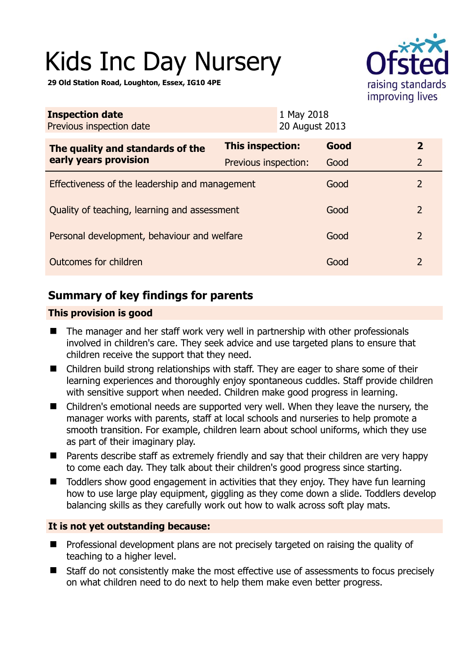# Kids Inc Day Nursery

**29 Old Station Road, Loughton, Essex, IG10 4PE** 



| <b>Inspection date</b><br>Previous inspection date        |                      | 1 May 2018<br>20 August 2013 |      |                |
|-----------------------------------------------------------|----------------------|------------------------------|------|----------------|
| The quality and standards of the<br>early years provision | This inspection:     | Good                         |      | $\overline{2}$ |
|                                                           | Previous inspection: | Good                         |      | 2              |
| Effectiveness of the leadership and management            |                      | Good                         |      | $\overline{2}$ |
| Quality of teaching, learning and assessment              |                      | Good                         |      | 2              |
| Personal development, behaviour and welfare               |                      | Good                         |      | 2              |
| Outcomes for children                                     |                      |                              | Good | $\overline{2}$ |

# **Summary of key findings for parents**

## **This provision is good**

- The manager and her staff work very well in partnership with other professionals involved in children's care. They seek advice and use targeted plans to ensure that children receive the support that they need.
- Children build strong relationships with staff. They are eager to share some of their learning experiences and thoroughly enjoy spontaneous cuddles. Staff provide children with sensitive support when needed. Children make good progress in learning.
- Children's emotional needs are supported very well. When they leave the nursery, the manager works with parents, staff at local schools and nurseries to help promote a smooth transition. For example, children learn about school uniforms, which they use as part of their imaginary play.
- Parents describe staff as extremely friendly and say that their children are very happy to come each day. They talk about their children's good progress since starting.
- Toddlers show good engagement in activities that they enjoy. They have fun learning how to use large play equipment, giggling as they come down a slide. Toddlers develop balancing skills as they carefully work out how to walk across soft play mats.

## **It is not yet outstanding because:**

- **Professional development plans are not precisely targeted on raising the quality of** teaching to a higher level.
- Staff do not consistently make the most effective use of assessments to focus precisely on what children need to do next to help them make even better progress.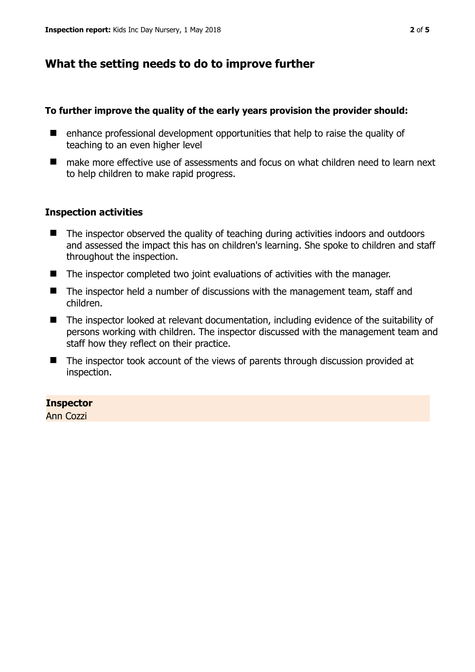## **What the setting needs to do to improve further**

#### **To further improve the quality of the early years provision the provider should:**

- enhance professional development opportunities that help to raise the quality of teaching to an even higher level
- make more effective use of assessments and focus on what children need to learn next to help children to make rapid progress.

#### **Inspection activities**

- The inspector observed the quality of teaching during activities indoors and outdoors and assessed the impact this has on children's learning. She spoke to children and staff throughout the inspection.
- The inspector completed two joint evaluations of activities with the manager.
- The inspector held a number of discussions with the management team, staff and children.
- The inspector looked at relevant documentation, including evidence of the suitability of persons working with children. The inspector discussed with the management team and staff how they reflect on their practice.
- The inspector took account of the views of parents through discussion provided at inspection.

#### **Inspector**

Ann Cozzi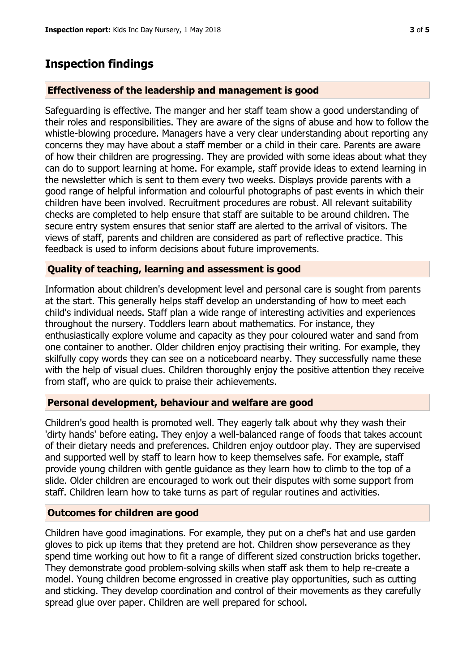## **Inspection findings**

#### **Effectiveness of the leadership and management is good**

Safeguarding is effective. The manger and her staff team show a good understanding of their roles and responsibilities. They are aware of the signs of abuse and how to follow the whistle-blowing procedure. Managers have a very clear understanding about reporting any concerns they may have about a staff member or a child in their care. Parents are aware of how their children are progressing. They are provided with some ideas about what they can do to support learning at home. For example, staff provide ideas to extend learning in the newsletter which is sent to them every two weeks. Displays provide parents with a good range of helpful information and colourful photographs of past events in which their children have been involved. Recruitment procedures are robust. All relevant suitability checks are completed to help ensure that staff are suitable to be around children. The secure entry system ensures that senior staff are alerted to the arrival of visitors. The views of staff, parents and children are considered as part of reflective practice. This feedback is used to inform decisions about future improvements.

#### **Quality of teaching, learning and assessment is good**

Information about children's development level and personal care is sought from parents at the start. This generally helps staff develop an understanding of how to meet each child's individual needs. Staff plan a wide range of interesting activities and experiences throughout the nursery. Toddlers learn about mathematics. For instance, they enthusiastically explore volume and capacity as they pour coloured water and sand from one container to another. Older children enjoy practising their writing. For example, they skilfully copy words they can see on a noticeboard nearby. They successfully name these with the help of visual clues. Children thoroughly enjoy the positive attention they receive from staff, who are quick to praise their achievements.

#### **Personal development, behaviour and welfare are good**

Children's good health is promoted well. They eagerly talk about why they wash their 'dirty hands' before eating. They enjoy a well-balanced range of foods that takes account of their dietary needs and preferences. Children enjoy outdoor play. They are supervised and supported well by staff to learn how to keep themselves safe. For example, staff provide young children with gentle guidance as they learn how to climb to the top of a slide. Older children are encouraged to work out their disputes with some support from staff. Children learn how to take turns as part of regular routines and activities.

#### **Outcomes for children are good**

Children have good imaginations. For example, they put on a chef's hat and use garden gloves to pick up items that they pretend are hot. Children show perseverance as they spend time working out how to fit a range of different sized construction bricks together. They demonstrate good problem-solving skills when staff ask them to help re-create a model. Young children become engrossed in creative play opportunities, such as cutting and sticking. They develop coordination and control of their movements as they carefully spread glue over paper. Children are well prepared for school.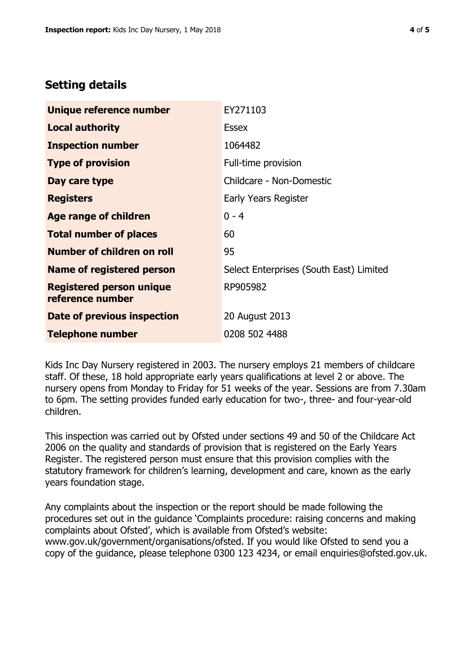## **Setting details**

| Unique reference number                             | EY271103                                |  |
|-----------------------------------------------------|-----------------------------------------|--|
| <b>Local authority</b>                              | <b>Essex</b>                            |  |
| <b>Inspection number</b>                            | 1064482                                 |  |
| <b>Type of provision</b>                            | Full-time provision                     |  |
| Day care type                                       | Childcare - Non-Domestic                |  |
| <b>Registers</b>                                    | Early Years Register                    |  |
| Age range of children                               | $0 - 4$                                 |  |
| <b>Total number of places</b>                       | 60                                      |  |
| Number of children on roll                          | 95                                      |  |
| Name of registered person                           | Select Enterprises (South East) Limited |  |
| <b>Registered person unique</b><br>reference number | RP905982                                |  |
| Date of previous inspection                         | 20 August 2013                          |  |
| <b>Telephone number</b>                             | 0208 502 4488                           |  |

Kids Inc Day Nursery registered in 2003. The nursery employs 21 members of childcare staff. Of these, 18 hold appropriate early years qualifications at level 2 or above. The nursery opens from Monday to Friday for 51 weeks of the year. Sessions are from 7.30am to 6pm. The setting provides funded early education for two-, three- and four-year-old children.

This inspection was carried out by Ofsted under sections 49 and 50 of the Childcare Act 2006 on the quality and standards of provision that is registered on the Early Years Register. The registered person must ensure that this provision complies with the statutory framework for children's learning, development and care, known as the early years foundation stage.

Any complaints about the inspection or the report should be made following the procedures set out in the guidance 'Complaints procedure: raising concerns and making complaints about Ofsted', which is available from Ofsted's website: www.gov.uk/government/organisations/ofsted. If you would like Ofsted to send you a copy of the guidance, please telephone 0300 123 4234, or email enquiries@ofsted.gov.uk.